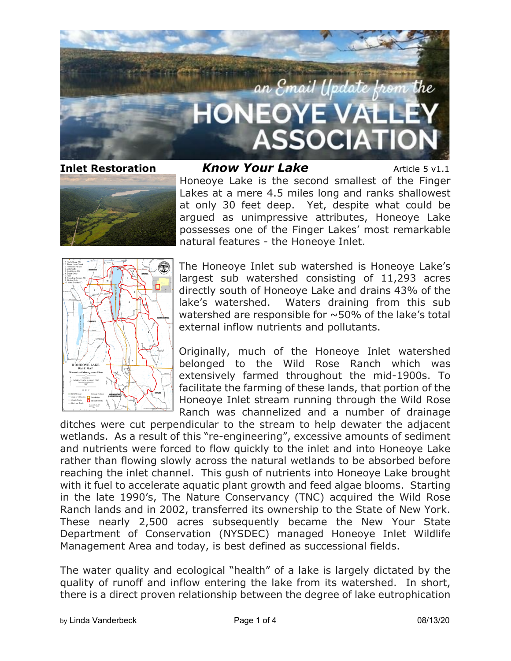

**Inlet Restoration** *Know Your Lake* Article 5 v1.1 Honeoye Lake is the second smallest of the Finger Lakes at a mere 4.5 miles long and ranks shallowest at only 30 feet deep. Yet, despite what could be argued as unimpressive attributes, Honeoye Lake possesses one of the Finger Lakes' most remarkable natural features - the Honeoye Inlet.



The Honeoye Inlet sub watershed is Honeoye Lake's largest sub watershed consisting of 11,293 acres directly south of Honeoye Lake and drains 43% of the lake's watershed. Waters draining from this sub watershed are responsible for  $\sim$  50% of the lake's total external inflow nutrients and pollutants.

Originally, much of the Honeoye Inlet watershed belonged to the Wild Rose Ranch which was extensively farmed throughout the mid-1900s. To facilitate the farming of these lands, that portion of the Honeoye Inlet stream running through the Wild Rose Ranch was channelized and a number of drainage

ditches were cut perpendicular to the stream to help dewater the adjacent wetlands. As a result of this "re-engineering", excessive amounts of sediment and nutrients were forced to flow quickly to the inlet and into Honeoye Lake rather than flowing slowly across the natural wetlands to be absorbed before reaching the inlet channel. This gush of nutrients into Honeoye Lake brought with it fuel to accelerate aquatic plant growth and feed algae blooms. Starting in the late 1990's, The Nature Conservancy (TNC) acquired the Wild Rose Ranch lands and in 2002, transferred its ownership to the State of New York. These nearly 2,500 acres subsequently became the New Your State Department of Conservation (NYSDEC) managed Honeoye Inlet Wildlife Management Area and today, is best defined as successional fields.

The water quality and ecological "health" of a lake is largely dictated by the quality of runoff and inflow entering the lake from its watershed. In short, there is a direct proven relationship between the degree of lake eutrophication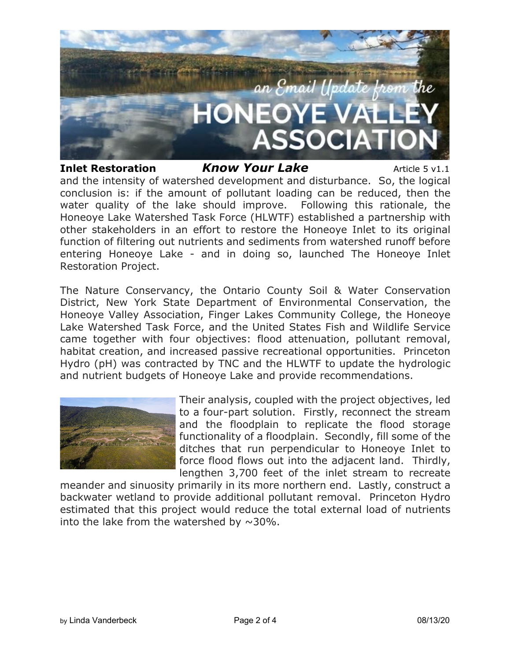

## **Inlet Restoration** *Know Your Lake* Article 5 v1.1

and the intensity of watershed development and disturbance. So, the logical conclusion is: if the amount of pollutant loading can be reduced, then the water quality of the lake should improve. Following this rationale, the Honeoye Lake Watershed Task Force (HLWTF) established a partnership with other stakeholders in an effort to restore the Honeoye Inlet to its original function of filtering out nutrients and sediments from watershed runoff before entering Honeoye Lake - and in doing so, launched The Honeoye Inlet Restoration Project.

The Nature Conservancy, the Ontario County Soil & Water Conservation District, New York State Department of Environmental Conservation, the Honeoye Valley Association, Finger Lakes Community College, the Honeoye Lake Watershed Task Force, and the United States Fish and Wildlife Service came together with four objectives: flood attenuation, pollutant removal, habitat creation, and increased passive recreational opportunities. Princeton Hydro (pH) was contracted by TNC and the HLWTF to update the hydrologic and nutrient budgets of Honeoye Lake and provide recommendations.



Their analysis, coupled with the project objectives, led to a four-part solution. Firstly, reconnect the stream and the floodplain to replicate the flood storage functionality of a floodplain. Secondly, fill some of the ditches that run perpendicular to Honeoye Inlet to force flood flows out into the adjacent land. Thirdly, lengthen 3,700 feet of the inlet stream to recreate

meander and sinuosity primarily in its more northern end. Lastly, construct a backwater wetland to provide additional pollutant removal. Princeton Hydro estimated that this project would reduce the total external load of nutrients into the lake from the watershed by  $\sim$ 30%.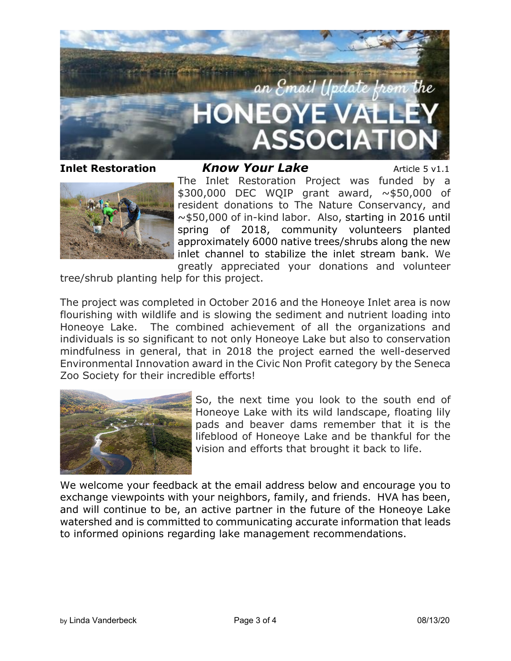

**Inlet Restoration** *Know Your Lake* Article 5 v1.1 The Inlet Restoration Project was funded by a \$300,000 DEC WQIP grant award, ~\$50,000 of resident donations to The Nature Conservancy, and ~\$50,000 of in-kind labor. Also, starting in 2016 until spring of 2018, community volunteers planted approximately 6000 native trees/shrubs along the new inlet channel to stabilize the inlet stream bank. We greatly appreciated your donations and volunteer

tree/shrub planting help for this project.

The project was completed in October 2016 and the Honeoye Inlet area is now flourishing with wildlife and is slowing the sediment and nutrient loading into Honeoye Lake. The combined achievement of all the organizations and individuals is so significant to not only Honeoye Lake but also to conservation mindfulness in general, that in 2018 the project earned the well-deserved Environmental Innovation award in the Civic Non Profit category by the Seneca Zoo Society for their incredible efforts!



So, the next time you look to the south end of Honeoye Lake with its wild landscape, floating lily pads and beaver dams remember that it is the lifeblood of Honeoye Lake and be thankful for the vision and efforts that brought it back to life.

We welcome your feedback at the email address below and encourage you to exchange viewpoints with your neighbors, family, and friends. HVA has been, and will continue to be, an active partner in the future of the Honeoye Lake watershed and is committed to communicating accurate information that leads to informed opinions regarding lake management recommendations.